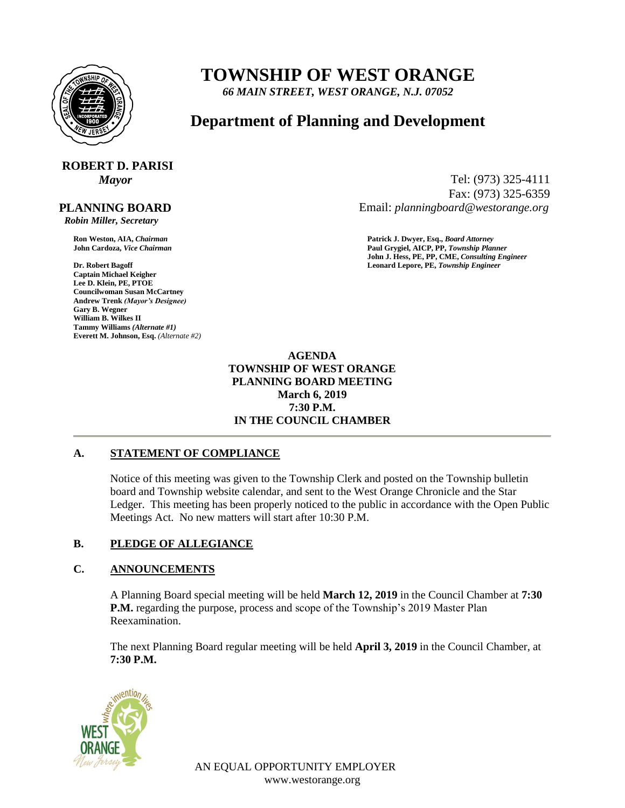

## **TOWNSHIP OF WEST ORANGE**

*66 MAIN STREET, WEST ORANGE, N.J. 07052*

### **Department of Planning and Development**

# **ROBERT D. PARISI**

 **PLANNING BOARD**

 *Robin Miller, Secretary*

**Captain Michael Keigher Lee D. Klein, PE, PTOE Councilwoman Susan McCartney Andrew Trenk** *(Mayor's Designee)* **Gary B. Wegner William B. Wilkes II Tammy Williams** *(Alternate #1)* **Everett M. Johnson, Esq.** *(Alternate #2)*

*Mayor* Tel: (973) 325-4111 Fax: (973) 325-6359 Email: *planningboard@westorange.org*

**Ron Weston, AIA,** *Chairman* **Patrick J. Dwyer, Esq.,** *Board Attorney* **John Cardoza,** *Vice Chairman* **Paul Grygiel, AICP, PP,** *Township Planner* **John J. Hess, PE, PP, CME,** *Consulting Engineer* **Dr. Robert Bagoff Leonard Lepore, PE,** *Township Engineer*

> **AGENDA TOWNSHIP OF WEST ORANGE PLANNING BOARD MEETING March 6, 2019 7:30 P.M. IN THE COUNCIL CHAMBER**

#### **A. STATEMENT OF COMPLIANCE**

Notice of this meeting was given to the Township Clerk and posted on the Township bulletin board and Township website calendar, and sent to the West Orange Chronicle and the Star Ledger. This meeting has been properly noticed to the public in accordance with the Open Public Meetings Act. No new matters will start after 10:30 P.M.

#### **B. PLEDGE OF ALLEGIANCE**

#### **C. ANNOUNCEMENTS**

A Planning Board special meeting will be held **March 12, 2019** in the Council Chamber at **7:30 P.M.** regarding the purpose, process and scope of the Township's 2019 Master Plan Reexamination.

The next Planning Board regular meeting will be held **April 3, 2019** in the Council Chamber, at **7:30 P.M.**